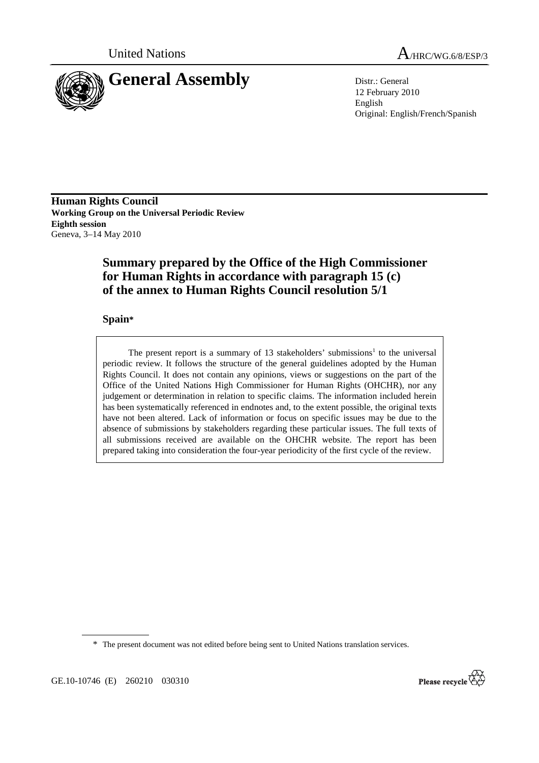



12 February 2010 English Original: English/French/Spanish

**Human Rights Council Working Group on the Universal Periodic Review Eighth session**  Geneva, 3–14 May 2010

# **Summary prepared by the Office of the High Commissioner for Human Rights in accordance with paragraph 15 (c) of the annex to Human Rights Council resolution 5/1**

### **Spain\***

The present report is a summary of 13 stakeholders' submissions<sup>1</sup> to the universal periodic review. It follows the structure of the general guidelines adopted by the Human Rights Council. It does not contain any opinions, views or suggestions on the part of the Office of the United Nations High Commissioner for Human Rights (OHCHR), nor any judgement or determination in relation to specific claims. The information included herein has been systematically referenced in endnotes and, to the extent possible, the original texts have not been altered. Lack of information or focus on specific issues may be due to the absence of submissions by stakeholders regarding these particular issues. The full texts of all submissions received are available on the OHCHR website. The report has been prepared taking into consideration the four-year periodicity of the first cycle of the review.

\* The present document was not edited before being sent to United Nations translation services.

GE.10-10746 (E) 260210 030310

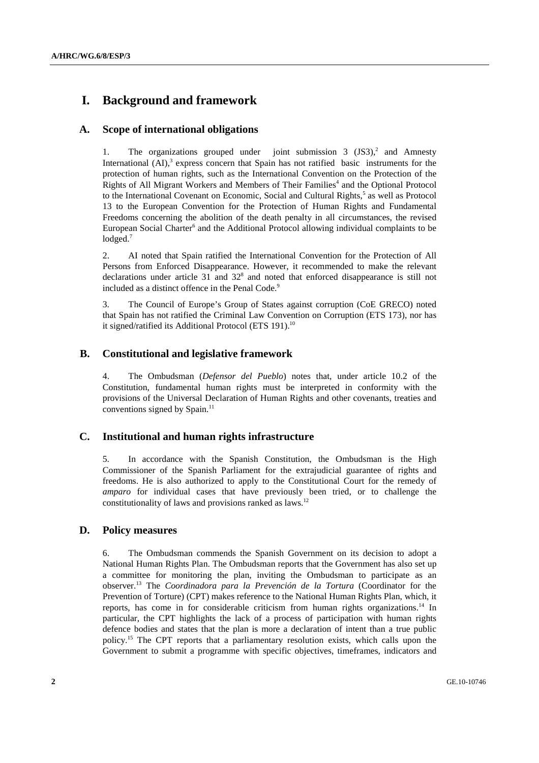# **I. Background and framework**

### **A. Scope of international obligations**

1. The organizations grouped under joint submission  $3 \text{ (JS3)}^2$  and Amnesty International  $(AI)$ ,<sup>3</sup> express concern that Spain has not ratified basic instruments for the protection of human rights, such as the International Convention on the Protection of the Rights of All Migrant Workers and Members of Their Families<sup>4</sup> and the Optional Protocol to the International Covenant on Economic, Social and Cultural Rights,<sup>5</sup> as well as Protocol 13 to the European Convention for the Protection of Human Rights and Fundamental Freedoms concerning the abolition of the death penalty in all circumstances, the revised European Social Charter<sup>6</sup> and the Additional Protocol allowing individual complaints to be  $I$ odged. $7$ 

2. AI noted that Spain ratified the International Convention for the Protection of All Persons from Enforced Disappearance. However, it recommended to make the relevant declarations under article 31 and  $32<sup>8</sup>$  and noted that enforced disappearance is still not included as a distinct offence in the Penal Code.<sup>9</sup>

3. The Council of Europe's Group of States against corruption (CoE GRECO) noted that Spain has not ratified the Criminal Law Convention on Corruption (ETS 173), nor has it signed/ratified its Additional Protocol (ETS 191).<sup>10</sup>

## **B. Constitutional and legislative framework**

4. The Ombudsman (*Defensor del Pueblo*) notes that, under article 10.2 of the Constitution, fundamental human rights must be interpreted in conformity with the provisions of the Universal Declaration of Human Rights and other covenants, treaties and conventions signed by Spain.<sup>11</sup>

### **C. Institutional and human rights infrastructure**

5. In accordance with the Spanish Constitution, the Ombudsman is the High Commissioner of the Spanish Parliament for the extrajudicial guarantee of rights and freedoms. He is also authorized to apply to the Constitutional Court for the remedy of *amparo* for individual cases that have previously been tried, or to challenge the constitutionality of laws and provisions ranked as laws.<sup>12</sup>

### **D. Policy measures**

6. The Ombudsman commends the Spanish Government on its decision to adopt a National Human Rights Plan. The Ombudsman reports that the Government has also set up a committee for monitoring the plan, inviting the Ombudsman to participate as an observer.13 The *Coordinadora para la Prevención de la Tortura* (Coordinator for the Prevention of Torture) (CPT) makes reference to the National Human Rights Plan, which, it reports, has come in for considerable criticism from human rights organizations.14 In particular, the CPT highlights the lack of a process of participation with human rights defence bodies and states that the plan is more a declaration of intent than a true public policy.15 The CPT reports that a parliamentary resolution exists, which calls upon the Government to submit a programme with specific objectives, timeframes, indicators and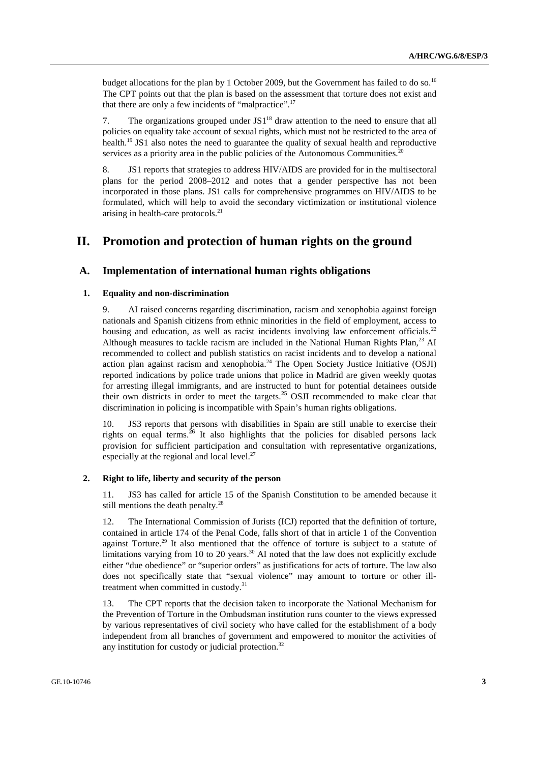budget allocations for the plan by 1 October 2009, but the Government has failed to do so.<sup>16</sup> The CPT points out that the plan is based on the assessment that torture does not exist and that there are only a few incidents of "malpractice".17

7. The organizations grouped under  $JS1^{18}$  draw attention to the need to ensure that all policies on equality take account of sexual rights, which must not be restricted to the area of health.<sup>19</sup> JS1 also notes the need to guarantee the quality of sexual health and reproductive services as a priority area in the public policies of the Autonomous Communities.<sup>20</sup>

8. JS1 reports that strategies to address HIV/AIDS are provided for in the multisectoral plans for the period 2008–2012 and notes that a gender perspective has not been incorporated in those plans. JS1 calls for comprehensive programmes on HIV/AIDS to be formulated, which will help to avoid the secondary victimization or institutional violence arising in health-care protocols.21

## **II. Promotion and protection of human rights on the ground**

#### **A. Implementation of international human rights obligations**

#### **1. Equality and non-discrimination**

9. AI raised concerns regarding discrimination, racism and xenophobia against foreign nationals and Spanish citizens from ethnic minorities in the field of employment, access to housing and education, as well as racist incidents involving law enforcement officials.<sup>22</sup> Although measures to tackle racism are included in the National Human Rights Plan, $^{23}$  AI recommended to collect and publish statistics on racist incidents and to develop a national action plan against racism and xenophobia.<sup>24</sup> The Open Society Justice Initiative (OSJI) reported indications by police trade unions that police in Madrid are given weekly quotas for arresting illegal immigrants, and are instructed to hunt for potential detainees outside their own districts in order to meet the targets.**<sup>25</sup>** OSJI recommended to make clear that discrimination in policing is incompatible with Spain's human rights obligations.

10. JS3 reports that persons with disabilities in Spain are still unable to exercise their rights on equal terms.**<sup>26</sup>** It also highlights that the policies for disabled persons lack provision for sufficient participation and consultation with representative organizations, especially at the regional and local level. $27$ 

#### **2. Right to life, liberty and security of the person**

11. JS3 has called for article 15 of the Spanish Constitution to be amended because it still mentions the death penalty.<sup>28</sup>

12. The International Commission of Jurists (ICJ) reported that the definition of torture, contained in article 174 of the Penal Code, falls short of that in article 1 of the Convention against Torture.<sup>29</sup> It also mentioned that the offence of torture is subject to a statute of limitations varying from 10 to 20 years.<sup>30</sup> AI noted that the law does not explicitly exclude either "due obedience" or "superior orders" as justifications for acts of torture. The law also does not specifically state that "sexual violence" may amount to torture or other illtreatment when committed in custody.<sup>31</sup>

13. The CPT reports that the decision taken to incorporate the National Mechanism for the Prevention of Torture in the Ombudsman institution runs counter to the views expressed by various representatives of civil society who have called for the establishment of a body independent from all branches of government and empowered to monitor the activities of any institution for custody or judicial protection.<sup>32</sup>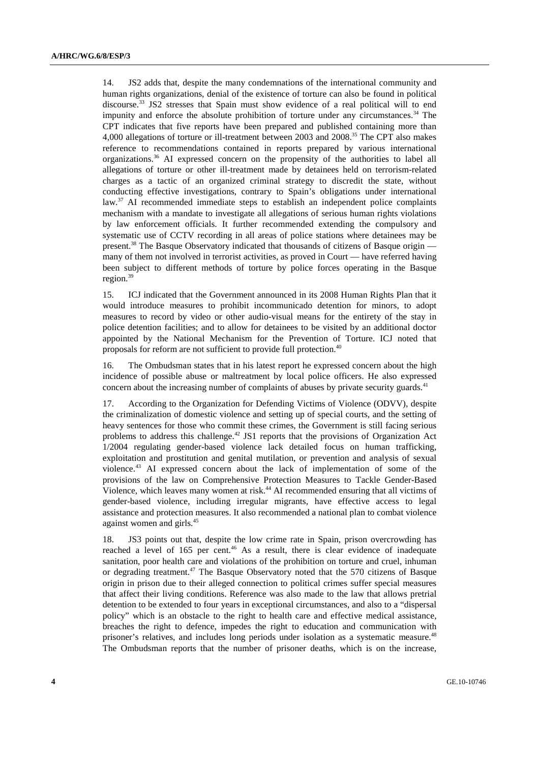14. JS2 adds that, despite the many condemnations of the international community and human rights organizations, denial of the existence of torture can also be found in political discourse.<sup>33</sup> JS2 stresses that Spain must show evidence of a real political will to end impunity and enforce the absolute prohibition of torture under any circumstances. $34$  The CPT indicates that five reports have been prepared and published containing more than 4,000 allegations of torture or ill-treatment between 2003 and 2008.35 The CPT also makes reference to recommendations contained in reports prepared by various international organizations.36 AI expressed concern on the propensity of the authorities to label all allegations of torture or other ill-treatment made by detainees held on terrorism-related charges as a tactic of an organized criminal strategy to discredit the state, without conducting effective investigations, contrary to Spain's obligations under international  $law$ <sup>37</sup> AI recommended immediate steps to establish an independent police complaints mechanism with a mandate to investigate all allegations of serious human rights violations by law enforcement officials. It further recommended extending the compulsory and systematic use of CCTV recording in all areas of police stations where detainees may be present.<sup>38</sup> The Basque Observatory indicated that thousands of citizens of Basque origin many of them not involved in terrorist activities, as proved in Court — have referred having been subject to different methods of torture by police forces operating in the Basque region.<sup>39</sup>

15. ICJ indicated that the Government announced in its 2008 Human Rights Plan that it would introduce measures to prohibit incommunicado detention for minors, to adopt measures to record by video or other audio-visual means for the entirety of the stay in police detention facilities; and to allow for detainees to be visited by an additional doctor appointed by the National Mechanism for the Prevention of Torture. ICJ noted that proposals for reform are not sufficient to provide full protection.<sup>40</sup>

16. The Ombudsman states that in his latest report he expressed concern about the high incidence of possible abuse or maltreatment by local police officers. He also expressed concern about the increasing number of complaints of abuses by private security guards.<sup>41</sup>

17. According to the Organization for Defending Victims of Violence (ODVV), despite the criminalization of domestic violence and setting up of special courts, and the setting of heavy sentences for those who commit these crimes, the Government is still facing serious problems to address this challenge.<sup>42</sup> JS1 reports that the provisions of Organization Act 1/2004 regulating gender-based violence lack detailed focus on human trafficking, exploitation and prostitution and genital mutilation, or prevention and analysis of sexual violence.43 AI expressed concern about the lack of implementation of some of the provisions of the law on Comprehensive Protection Measures to Tackle Gender-Based Violence, which leaves many women at risk.<sup>44</sup> AI recommended ensuring that all victims of gender-based violence, including irregular migrants, have effective access to legal assistance and protection measures. It also recommended a national plan to combat violence against women and girls.<sup>45</sup>

18. JS3 points out that, despite the low crime rate in Spain, prison overcrowding has reached a level of 165 per cent.<sup>46</sup> As a result, there is clear evidence of inadequate sanitation, poor health care and violations of the prohibition on torture and cruel, inhuman or degrading treatment.47 The Basque Observatory noted that the 570 citizens of Basque origin in prison due to their alleged connection to political crimes suffer special measures that affect their living conditions. Reference was also made to the law that allows pretrial detention to be extended to four years in exceptional circumstances, and also to a "dispersal policy" which is an obstacle to the right to health care and effective medical assistance, breaches the right to defence, impedes the right to education and communication with prisoner's relatives, and includes long periods under isolation as a systematic measure.48 The Ombudsman reports that the number of prisoner deaths, which is on the increase,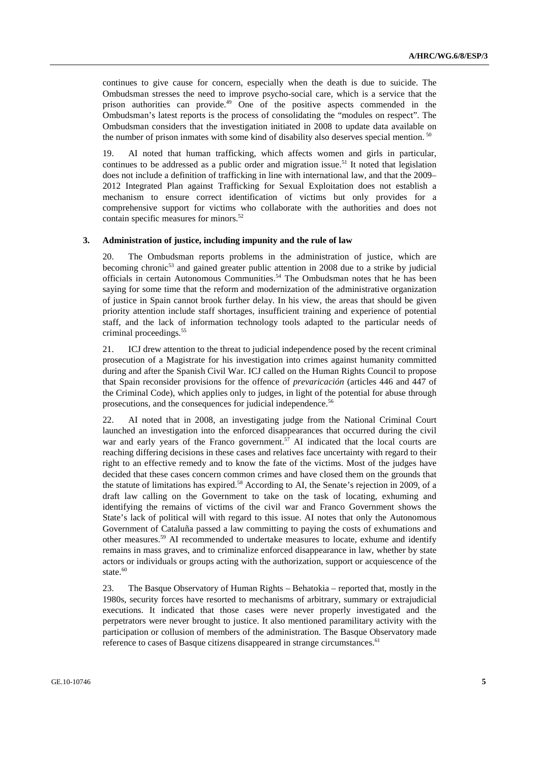continues to give cause for concern, especially when the death is due to suicide. The Ombudsman stresses the need to improve psycho-social care, which is a service that the prison authorities can provide.49 One of the positive aspects commended in the Ombudsman's latest reports is the process of consolidating the "modules on respect". The Ombudsman considers that the investigation initiated in 2008 to update data available on the number of prison inmates with some kind of disability also deserves special mention.  $50$ 

19. AI noted that human trafficking, which affects women and girls in particular, continues to be addressed as a public order and migration issue.<sup>51</sup> It noted that legislation does not include a definition of trafficking in line with international law, and that the 2009– 2012 Integrated Plan against Trafficking for Sexual Exploitation does not establish a mechanism to ensure correct identification of victims but only provides for a comprehensive support for victims who collaborate with the authorities and does not contain specific measures for minors.<sup>52</sup>

#### **3. Administration of justice, including impunity and the rule of law**

20. The Ombudsman reports problems in the administration of justice, which are becoming chronic<sup>53</sup> and gained greater public attention in 2008 due to a strike by judicial officials in certain Autonomous Communities.54 The Ombudsman notes that he has been saying for some time that the reform and modernization of the administrative organization of justice in Spain cannot brook further delay. In his view, the areas that should be given priority attention include staff shortages, insufficient training and experience of potential staff, and the lack of information technology tools adapted to the particular needs of criminal proceedings.55

21. ICJ drew attention to the threat to judicial independence posed by the recent criminal prosecution of a Magistrate for his investigation into crimes against humanity committed during and after the Spanish Civil War. ICJ called on the Human Rights Council to propose that Spain reconsider provisions for the offence of *prevaricación* (articles 446 and 447 of the Criminal Code), which applies only to judges, in light of the potential for abuse through prosecutions, and the consequences for judicial independence.<sup>56</sup>

22. AI noted that in 2008, an investigating judge from the National Criminal Court launched an investigation into the enforced disappearances that occurred during the civil war and early years of the Franco government.<sup>57</sup> AI indicated that the local courts are reaching differing decisions in these cases and relatives face uncertainty with regard to their right to an effective remedy and to know the fate of the victims. Most of the judges have decided that these cases concern common crimes and have closed them on the grounds that the statute of limitations has expired.<sup>58</sup> According to AI, the Senate's rejection in 2009, of a draft law calling on the Government to take on the task of locating, exhuming and identifying the remains of victims of the civil war and Franco Government shows the State's lack of political will with regard to this issue. AI notes that only the Autonomous Government of Cataluña passed a law committing to paying the costs of exhumations and other measures.59 AI recommended to undertake measures to locate, exhume and identify remains in mass graves, and to criminalize enforced disappearance in law, whether by state actors or individuals or groups acting with the authorization, support or acquiescence of the state.<sup>60</sup>

23. The Basque Observatory of Human Rights – Behatokia – reported that, mostly in the 1980s, security forces have resorted to mechanisms of arbitrary, summary or extrajudicial executions. It indicated that those cases were never properly investigated and the perpetrators were never brought to justice. It also mentioned paramilitary activity with the participation or collusion of members of the administration. The Basque Observatory made reference to cases of Basque citizens disappeared in strange circumstances.<sup>61</sup>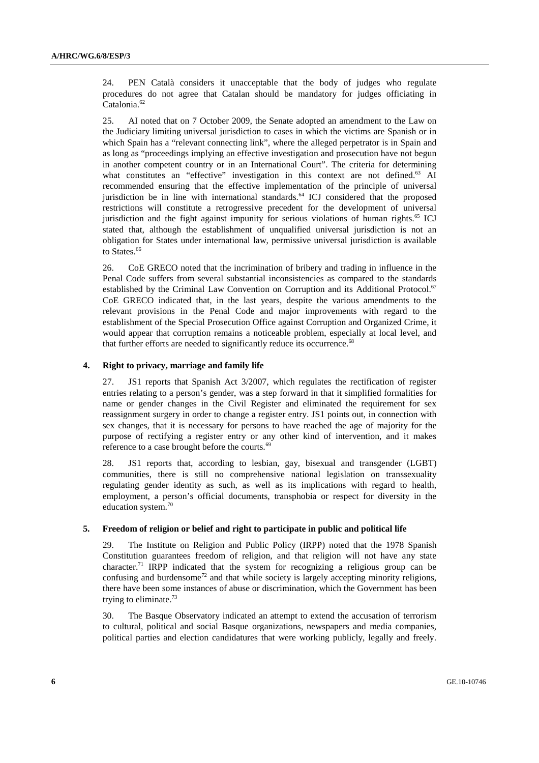24. PEN Català considers it unacceptable that the body of judges who regulate procedures do not agree that Catalan should be mandatory for judges officiating in Catalonia.<sup>62</sup>

25. AI noted that on 7 October 2009, the Senate adopted an amendment to the Law on the Judiciary limiting universal jurisdiction to cases in which the victims are Spanish or in which Spain has a "relevant connecting link", where the alleged perpetrator is in Spain and as long as "proceedings implying an effective investigation and prosecution have not begun in another competent country or in an International Court". The criteria for determining what constitutes an "effective" investigation in this context are not defined.<sup>63</sup> AI recommended ensuring that the effective implementation of the principle of universal jurisdiction be in line with international standards. $64$  ICJ considered that the proposed restrictions will constitute a retrogressive precedent for the development of universal jurisdiction and the fight against impunity for serious violations of human rights.<sup>65</sup> ICJ stated that, although the establishment of unqualified universal jurisdiction is not an obligation for States under international law, permissive universal jurisdiction is available to States.<sup>66</sup>

26. CoE GRECO noted that the incrimination of bribery and trading in influence in the Penal Code suffers from several substantial inconsistencies as compared to the standards established by the Criminal Law Convention on Corruption and its Additional Protocol.<sup>67</sup> CoE GRECO indicated that, in the last years, despite the various amendments to the relevant provisions in the Penal Code and major improvements with regard to the establishment of the Special Prosecution Office against Corruption and Organized Crime, it would appear that corruption remains a noticeable problem, especially at local level, and that further efforts are needed to significantly reduce its occurrence.<sup>68</sup>

#### **4. Right to privacy, marriage and family life**

27. JS1 reports that Spanish Act 3/2007, which regulates the rectification of register entries relating to a person's gender, was a step forward in that it simplified formalities for name or gender changes in the Civil Register and eliminated the requirement for sex reassignment surgery in order to change a register entry. JS1 points out, in connection with sex changes, that it is necessary for persons to have reached the age of majority for the purpose of rectifying a register entry or any other kind of intervention, and it makes reference to a case brought before the courts.<sup>69</sup>

28. JS1 reports that, according to lesbian, gay, bisexual and transgender (LGBT) communities, there is still no comprehensive national legislation on transsexuality regulating gender identity as such, as well as its implications with regard to health, employment, a person's official documents, transphobia or respect for diversity in the education system.70

#### **5. Freedom of religion or belief and right to participate in public and political life**

29. The Institute on Religion and Public Policy (IRPP) noted that the 1978 Spanish Constitution guarantees freedom of religion, and that religion will not have any state character.<sup>71</sup> IRPP indicated that the system for recognizing a religious group can be confusing and burdensome<sup>72</sup> and that while society is largely accepting minority religions, there have been some instances of abuse or discrimination, which the Government has been trying to eliminate.<sup>73</sup>

30. The Basque Observatory indicated an attempt to extend the accusation of terrorism to cultural, political and social Basque organizations, newspapers and media companies, political parties and election candidatures that were working publicly, legally and freely.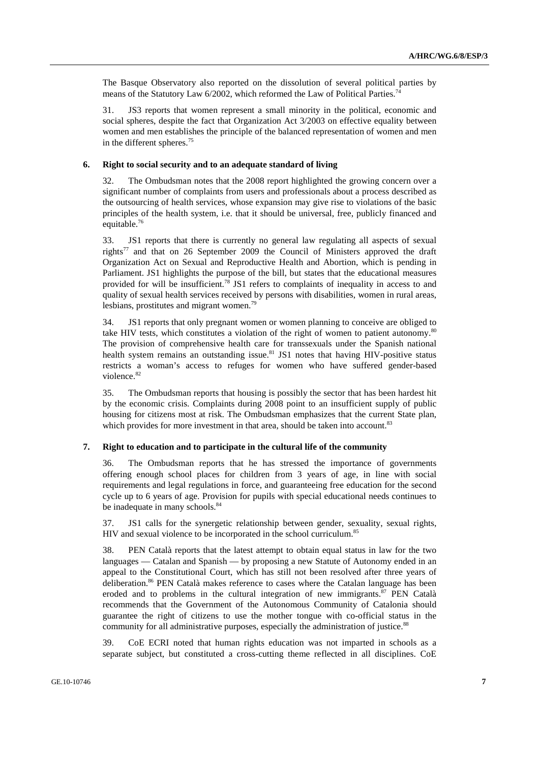The Basque Observatory also reported on the dissolution of several political parties by means of the Statutory Law 6/2002, which reformed the Law of Political Parties.<sup>74</sup>

31. JS3 reports that women represent a small minority in the political, economic and social spheres, despite the fact that Organization Act 3/2003 on effective equality between women and men establishes the principle of the balanced representation of women and men in the different spheres.<sup>75</sup>

#### **6. Right to social security and to an adequate standard of living**

32. The Ombudsman notes that the 2008 report highlighted the growing concern over a significant number of complaints from users and professionals about a process described as the outsourcing of health services, whose expansion may give rise to violations of the basic principles of the health system, i.e. that it should be universal, free, publicly financed and equitable.76

33. JS1 reports that there is currently no general law regulating all aspects of sexual rights77 and that on 26 September 2009 the Council of Ministers approved the draft Organization Act on Sexual and Reproductive Health and Abortion, which is pending in Parliament. JS1 highlights the purpose of the bill, but states that the educational measures provided for will be insufficient.<sup>78</sup> JS1 refers to complaints of inequality in access to and quality of sexual health services received by persons with disabilities, women in rural areas, lesbians, prostitutes and migrant women.<sup>79</sup>

34. JS1 reports that only pregnant women or women planning to conceive are obliged to take HIV tests, which constitutes a violation of the right of women to patient autonomy.<sup>80</sup> The provision of comprehensive health care for transsexuals under the Spanish national health system remains an outstanding issue.<sup>81</sup> JS1 notes that having HIV-positive status restricts a woman's access to refuges for women who have suffered gender-based violence.82

35. The Ombudsman reports that housing is possibly the sector that has been hardest hit by the economic crisis. Complaints during 2008 point to an insufficient supply of public housing for citizens most at risk. The Ombudsman emphasizes that the current State plan, which provides for more investment in that area, should be taken into account.<sup>83</sup>

#### **7. Right to education and to participate in the cultural life of the community**

36. The Ombudsman reports that he has stressed the importance of governments offering enough school places for children from 3 years of age, in line with social requirements and legal regulations in force, and guaranteeing free education for the second cycle up to 6 years of age. Provision for pupils with special educational needs continues to be inadequate in many schools.<sup>84</sup>

37. JS1 calls for the synergetic relationship between gender, sexuality, sexual rights, HIV and sexual violence to be incorporated in the school curriculum.<sup>85</sup>

38. PEN Català reports that the latest attempt to obtain equal status in law for the two languages — Catalan and Spanish — by proposing a new Statute of Autonomy ended in an appeal to the Constitutional Court, which has still not been resolved after three years of deliberation.<sup>86</sup> PEN Català makes reference to cases where the Catalan language has been eroded and to problems in the cultural integration of new immigrants.<sup>87</sup> PEN Català recommends that the Government of the Autonomous Community of Catalonia should guarantee the right of citizens to use the mother tongue with co-official status in the community for all administrative purposes, especially the administration of justice.<sup>88</sup>

39. CoE ECRI noted that human rights education was not imparted in schools as a separate subject, but constituted a cross-cutting theme reflected in all disciplines. CoE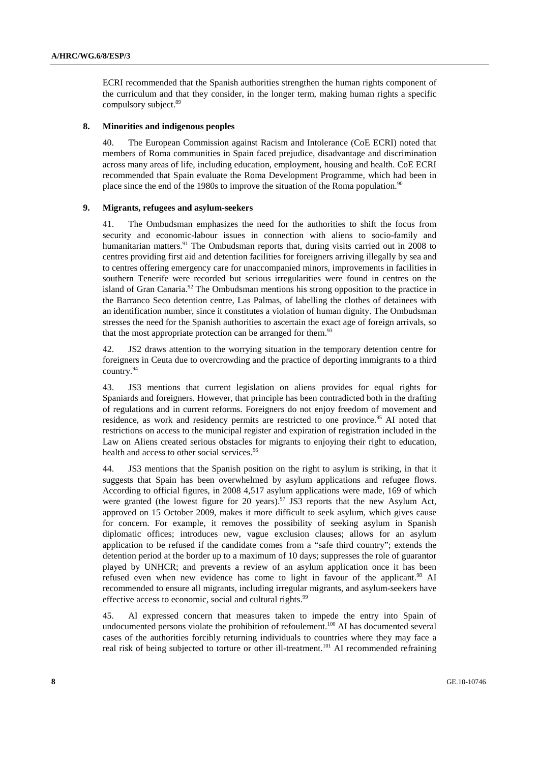ECRI recommended that the Spanish authorities strengthen the human rights component of the curriculum and that they consider, in the longer term, making human rights a specific compulsory subject.<sup>89</sup>

#### **8. Minorities and indigenous peoples**

40. The European Commission against Racism and Intolerance (CoE ECRI) noted that members of Roma communities in Spain faced prejudice, disadvantage and discrimination across many areas of life, including education, employment, housing and health. CoE ECRI recommended that Spain evaluate the Roma Development Programme, which had been in place since the end of the 1980s to improve the situation of the Roma population.<sup>90</sup>

#### **9. Migrants, refugees and asylum-seekers**

41. The Ombudsman emphasizes the need for the authorities to shift the focus from security and economic-labour issues in connection with aliens to socio-family and humanitarian matters.<sup>91</sup> The Ombudsman reports that, during visits carried out in 2008 to centres providing first aid and detention facilities for foreigners arriving illegally by sea and to centres offering emergency care for unaccompanied minors, improvements in facilities in southern Tenerife were recorded but serious irregularities were found in centres on the island of Gran Canaria.<sup>92</sup> The Ombudsman mentions his strong opposition to the practice in the Barranco Seco detention centre, Las Palmas, of labelling the clothes of detainees with an identification number, since it constitutes a violation of human dignity. The Ombudsman stresses the need for the Spanish authorities to ascertain the exact age of foreign arrivals, so that the most appropriate protection can be arranged for them.<sup>93</sup>

42. JS2 draws attention to the worrying situation in the temporary detention centre for foreigners in Ceuta due to overcrowding and the practice of deporting immigrants to a third country.94

43. JS3 mentions that current legislation on aliens provides for equal rights for Spaniards and foreigners. However, that principle has been contradicted both in the drafting of regulations and in current reforms. Foreigners do not enjoy freedom of movement and residence, as work and residency permits are restricted to one province.<sup>95</sup> AI noted that restrictions on access to the municipal register and expiration of registration included in the Law on Aliens created serious obstacles for migrants to enjoying their right to education, health and access to other social services.<sup>96</sup>

44. JS3 mentions that the Spanish position on the right to asylum is striking, in that it suggests that Spain has been overwhelmed by asylum applications and refugee flows. According to official figures, in 2008 4,517 asylum applications were made, 169 of which were granted (the lowest figure for 20 years).<sup>97</sup> JS3 reports that the new Asylum Act, approved on 15 October 2009, makes it more difficult to seek asylum, which gives cause for concern. For example, it removes the possibility of seeking asylum in Spanish diplomatic offices; introduces new, vague exclusion clauses; allows for an asylum application to be refused if the candidate comes from a "safe third country"; extends the detention period at the border up to a maximum of 10 days; suppresses the role of guarantor played by UNHCR; and prevents a review of an asylum application once it has been refused even when new evidence has come to light in favour of the applicant.<sup>98</sup> AI recommended to ensure all migrants, including irregular migrants, and asylum-seekers have effective access to economic, social and cultural rights.<sup>99</sup>

45. AI expressed concern that measures taken to impede the entry into Spain of undocumented persons violate the prohibition of refoulement.<sup>100</sup> AI has documented several cases of the authorities forcibly returning individuals to countries where they may face a real risk of being subjected to torture or other ill-treatment.<sup>101</sup> AI recommended refraining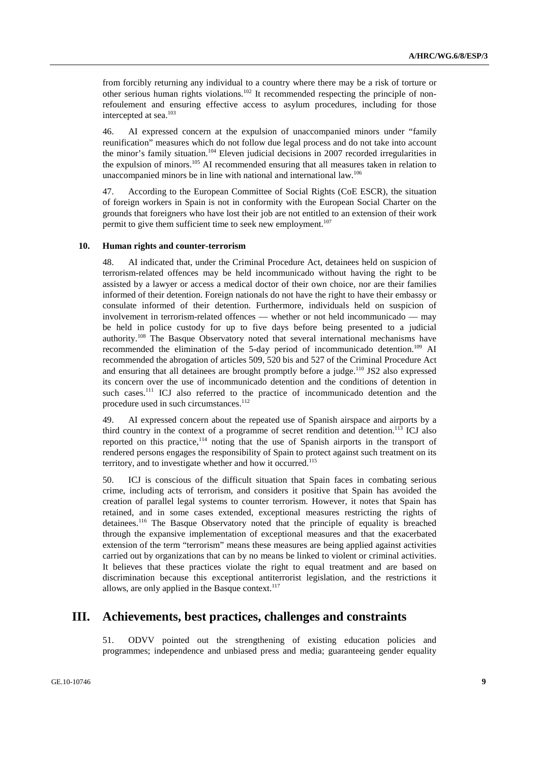from forcibly returning any individual to a country where there may be a risk of torture or other serious human rights violations.102 It recommended respecting the principle of nonrefoulement and ensuring effective access to asylum procedures, including for those intercepted at sea.103

46. AI expressed concern at the expulsion of unaccompanied minors under "family reunification" measures which do not follow due legal process and do not take into account the minor's family situation.<sup>104</sup> Eleven judicial decisions in 2007 recorded irregularities in the expulsion of minors.105 AI recommended ensuring that all measures taken in relation to unaccompanied minors be in line with national and international law.<sup>106</sup>

47. According to the European Committee of Social Rights (CoE ESCR), the situation of foreign workers in Spain is not in conformity with the European Social Charter on the grounds that foreigners who have lost their job are not entitled to an extension of their work permit to give them sufficient time to seek new employment.<sup>107</sup>

#### **10. Human rights and counter-terrorism**

48. AI indicated that, under the Criminal Procedure Act, detainees held on suspicion of terrorism-related offences may be held incommunicado without having the right to be assisted by a lawyer or access a medical doctor of their own choice, nor are their families informed of their detention. Foreign nationals do not have the right to have their embassy or consulate informed of their detention. Furthermore, individuals held on suspicion of involvement in terrorism-related offences — whether or not held incommunicado — may be held in police custody for up to five days before being presented to a judicial authority.108 The Basque Observatory noted that several international mechanisms have recommended the elimination of the 5-day period of incommunicado detention.<sup>109</sup> AI recommended the abrogation of articles 509, 520 bis and 527 of the Criminal Procedure Act and ensuring that all detainees are brought promptly before a judge.<sup>110</sup> JS2 also expressed its concern over the use of incommunicado detention and the conditions of detention in such cases.<sup>111</sup> ICJ also referred to the practice of incommunicado detention and the procedure used in such circumstances.<sup>112</sup>

49. AI expressed concern about the repeated use of Spanish airspace and airports by a third country in the context of a programme of secret rendition and detention.<sup>113</sup> ICJ also reported on this practice,<sup>114</sup> noting that the use of Spanish airports in the transport of rendered persons engages the responsibility of Spain to protect against such treatment on its territory, and to investigate whether and how it occurred.<sup>115</sup>

50. ICJ is conscious of the difficult situation that Spain faces in combating serious crime, including acts of terrorism, and considers it positive that Spain has avoided the creation of parallel legal systems to counter terrorism. However, it notes that Spain has retained, and in some cases extended, exceptional measures restricting the rights of detainees.116 The Basque Observatory noted that the principle of equality is breached through the expansive implementation of exceptional measures and that the exacerbated extension of the term "terrorism" means these measures are being applied against activities carried out by organizations that can by no means be linked to violent or criminal activities. It believes that these practices violate the right to equal treatment and are based on discrimination because this exceptional antiterrorist legislation, and the restrictions it allows, are only applied in the Basque context.<sup>117</sup>

## **III. Achievements, best practices, challenges and constraints**

51. ODVV pointed out the strengthening of existing education policies and programmes; independence and unbiased press and media; guaranteeing gender equality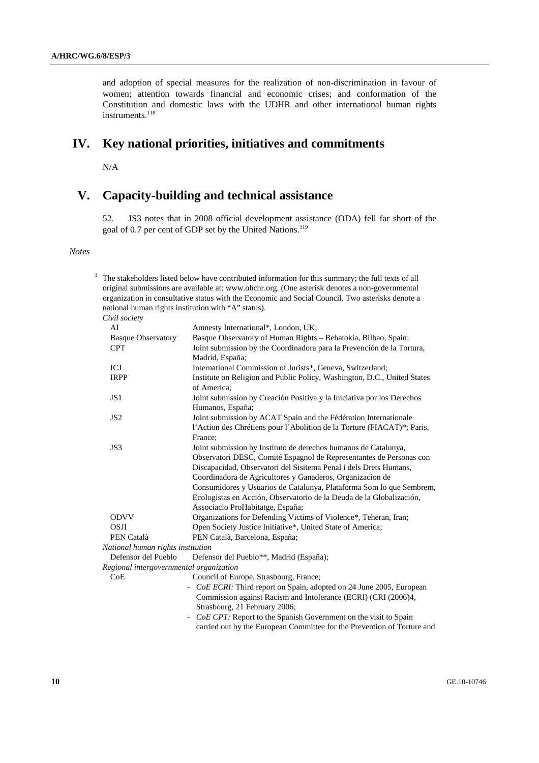and adoption of special measures for the realization of non-discrimination in favour of women; attention towards financial and economic crises; and conformation of the Constitution and domestic laws with the UDHR and other international human rights instruments.<sup>118</sup>

## **IV. Key national priorities, initiatives and commitments**

N/A

## **V. Capacity-building and technical assistance**

52. JS3 notes that in 2008 official development assistance (ODA) fell far short of the goal of 0.7 per cent of GDP set by the United Nations.<sup>119</sup>

#### *Notes*

 $1$  The stakeholders listed below have contributed information for this summary; the full texts of all original submissions are available at: www.ohchr.org. (One asterisk denotes a non-governmental organization in consultative status with the Economic and Social Council. Two asterisks denote a national human rights institution with "A" status).  *Civil society* AI Amnesty International\*, London, UK; Basque Observatory Basque Observatory of Human Rights – Behatokia, Bilbao, Spain; CPT Joint submission by the Coordinadora para la Prevención de la Tortura, Madrid, España; ICJ International Commission of Jurists\*, Geneva, Switzerland; IRPP Institute on Religion and Public Policy, Washington, D.C., United States of America; JS1 Joint submission by Creación Positiva y la Iniciativa por los Derechos Humanos, España; JS2 Joint submission by ACAT Spain and the Fédération Internationale l'Action des Chrétiens pour l'Abolition de la Torture (FIACAT)\*; Paris, France; JS3 Joint submission by Instituto de derechos humanos de Catalunya, Observatori DESC, Comité Espagnol de Representantes de Personas con Discapacidad, Observatori del Sisitema Penal i dels Drets Humans, Coordinadora de Agricultores y Ganaderos, Organizacion de Consumidores y Usuarios de Catalunya, Plataforma Som lo que Sembrem, Ecologistas en Acción, Observatorio de la Deuda de la Globalización, Associacio ProHabitatge, España; ODVV Organizations for Defending Victims of Violence\*, Teheran, Iran; OSJI Open Society Justice Initiative\*, United State of America; PEN Català PEN Català, Barcelona, España;  *National human rights institution*  Defensor del Pueblo Defensor del Pueblo\*\*, Madrid (España);  *Regional intergovernmental organization*  CoE Council of Europe, Strasbourg, France; *- CoE ECRI:* Third report on Spain, adopted on 24 June 2005, European Commission against Racism and Intolerance (ECRI) (CRI (2006)4, Strasbourg, 21 February 2006; *- CoE CPT:* Report to the Spanish Government on the visit to Spain carried out by the European Committee for the Prevention of Torture and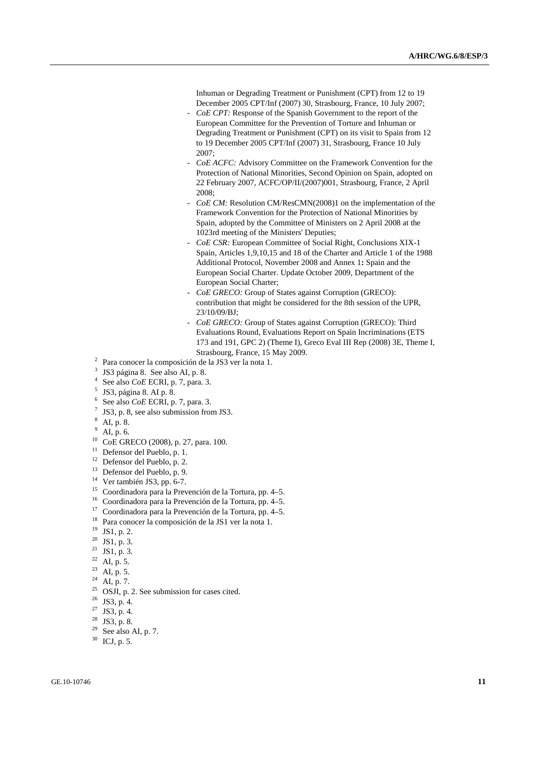Inhuman or Degrading Treatment or Punishment (CPT) from 12 to 19 December 2005 CPT/Inf (2007) 30, Strasbourg, France, 10 July 2007;

- *CoE CPT:* Response of the Spanish Government to the report of the European Committee for the Prevention of Torture and Inhuman or Degrading Treatment or Punishment (CPT) on its visit to Spain from 12 to 19 December 2005 CPT/Inf (2007) 31, Strasbourg, France 10 July 2007;
- *CoE ACFC:* Advisory Committee on the Framework Convention for the Protection of National Minorities, Second Opinion on Spain, adopted on 22 February 2007, ACFC/OP/II/(2007)001, Strasbourg, France, 2 April 2008;
- *CoE CM:* Resolution CM/ResCMN(2008)1 on the implementation of the Framework Convention for the Protection of National Minorities by Spain, adopted by the Committee of Ministers on 2 April 2008 at the 1023rd meeting of the Ministers' Deputies;
- *CoE CSR:* European Committee of Social Right, Conclusions XIX-1 Spain, Articles 1,9,10,15 and 18 of the Charter and Article 1 of the 1988 Additional Protocol, November 2008 and Annex 1**:** Spain and the European Social Charter. Update October 2009, Department of the European Social Charter;
- *CoE GRECO:* Group of States against Corruption (GRECO): contribution that might be considered for the 8th session of the UPR, 23/10/09/BJ;
- *CoE GRECO:* Group of States against Corruption (GRECO): Third Evaluations Round, Evaluations Report on Spain Incriminations (ETS 173 and 191, GPC 2) (Theme I), Greco Eval III Rep (2008) 3E, Theme I, Strasbourg, France, 15 May 2009.
- Para conocer la composición de la JS3 ver la nota 1.
- <sup>2</sup> 3 JS3 página 8. See also AI, p. 8.
	- 4 See also *CoE* ECRI, p. 7, para. 3.
	- JS3, página 8. AI p. 8.
	- 6 See also *CoE* ECRI, p. 7, para. 3.
	- JS3, p. 8, see also submission from JS3.
	- 8 AI, p. 8.
	- $^{9}$  AI, p. 6.
	- 10 CoE GRECO (2008), p. 27, para. 100.
	- <sup>11</sup> Defensor del Pueblo, p. 1.
	- 12 Defensor del Pueblo, p. 2.
	- 13 Defensor del Pueblo, p. 9.
	- <sup>14</sup> Ver también JS3, pp. 6-7.
	- 15 Coordinadora para la Prevención de la Tortura, pp. 4–5.
	- 16 Coordinadora para la Prevención de la Tortura, pp. 4–5.
	- 17 Coordinadora para la Prevención de la Tortura, pp. 4–5.
	- 18 Para conocer la composición de la JS1 ver la nota 1.
	- 19 JS1, p. 2.
	- $20$  JS1, p. 3.
	- <sup>21</sup> JS1, p. 3.
	- AI, p. 5.
	- <sup>23</sup> AI, p. 5.
	- $^{24}$  AI, p. 7.
	-
	- $^{25}$  OSJI, p. 2. See submission for cases cited.
	- $26$  JS3, p. 4.
	- $^{27}$  JS3, p. 4.
	- $^{28}$  JS3, p. 8.<br> $^{29}$  See also
	- See also AI, p. 7.
	- 30 ICJ, p. 5.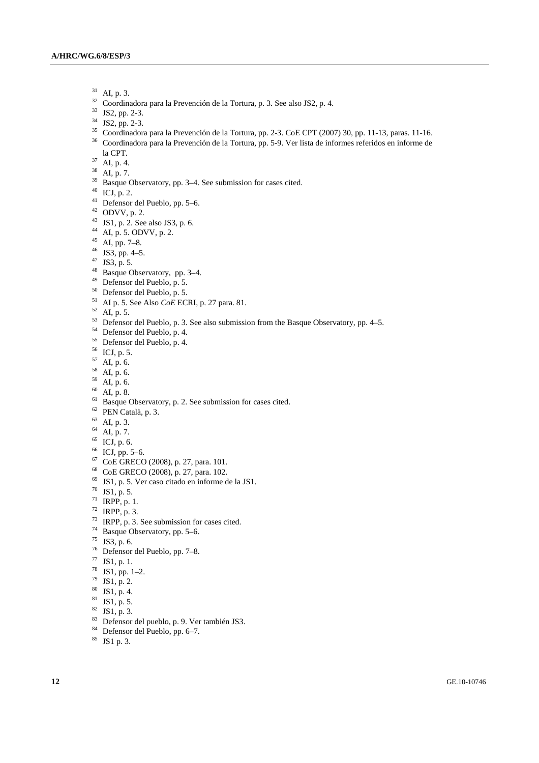- 31 AI, p. 3.
- <sup>32</sup> Coordinadora para la Prevención de la Tortura, p. 3. See also JS2, p. 4.
- 33 JS2, pp. 2-3.
- 34 JS2, pp. 2-3.
- 35 Coordinadora para la Prevención de la Tortura, pp. 2-3. CoE CPT (2007) 30, pp. 11-13, paras. 11-16. 36 Coordinadora para la Prevención de la Tortura, pp. 5-9. Ver lista de informes referidos en informe de
- la CPT. 37 AI, p. 4.
- $38$  AI, p. 7.
- <sup>39</sup> Basque Observatory, pp. 3–4. See submission for cases cited.
- $40$  ICJ, p. 2.
- 41 Defensor del Pueblo, pp. 5–6.
- $42$  ODVV, p. 2.
- 43 JS1, p. 2. See also JS3, p. 6.
- 44 AI, p. 5. ODVV, p. 2.
- $45$  AI, pp. 7–8.
- 46 JS3, pp. 4–5.
- 47 JS3, p. 5.
- 48 Basque Observatory, pp. 3–4.
- 49 Defensor del Pueblo, p. 5.
- 50 Defensor del Pueblo, p. 5.
- 51 AI p. 5. See Also *CoE* ECRI, p. 27 para. 81. 52 AI, p. 5.
- 
- <sup>53</sup> Defensor del Pueblo, p. 3. See also submission from the Basque Observatory, pp. 4–5.
- 54 Defensor del Pueblo, p. 4.
- 55 Defensor del Pueblo, p. 4.
- 56 ICJ, p. 5.
- 57 AI, p. 6.
- 58 AI, p. 6.
- $59$  AI, p. 6.
- $60$  AI, p. 8.
- <sup>61</sup> Basque Observatory, p. 2. See submission for cases cited.
- 62 PEN Català, p. 3.
- $63$  AI, p. 3.
- $^{64}$  AI, p. 7.
- $^{65}$  ICJ, p. 6.
- $66$  ICJ, pp. 5–6.
- 67 CoE GRECO (2008), p. 27, para. 101.
- 68 CoE GRECO (2008), p. 27, para. 102.
- 69 JS1, p. 5. Ver caso citado en informe de la JS1.
- $70$  JS1, p. 5.
- 71 IRPP, p. 1.
- $72$  IRPP, p. 3.
- $73$  IRPP, p. 3. See submission for cases cited.
- 74 Basque Observatory, pp. 5–6.
- $75$  JS3, p. 6.
- 76 Defensor del Pueblo, pp. 7–8.
- 77 JS1, p. 1.
- $78$  JS1, pp. 1-2.
- $79$  JS1, p. 2.
- $80$  JS1, p. 4.
- $81$  JS1, p. 5.
- $82$  JS1, p. 3.
- 83 Defensor del pueblo, p. 9. Ver también JS3.
- 84 Defensor del Pueblo, pp. 6–7.
- 85 JS1 p. 3.